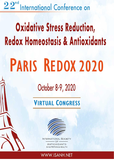22<sup>nd</sup> International Conference on

# **Oxidative Stress Reduction, Redox Homeostasis & Antioxidants**

# PARIS REDOX 2020

# October 8-9, 2020

# **VIRTUAL CONGRESS**



INTERNATIONAL SOCIETY OF ANTIOXIDANTS IN NUTRITION & HEALTH

# WWW.ISANH.NET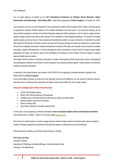Dear Colleagues,

It is our great pleasure to present you the 22<sup>nd</sup> International Conference on Oxidative Stress Reduction, Redox **Homeostasis and Antioxidants - Paris Redox 2020 –** which will be organized as **Virtual Congress**, on October 8-9, 2020.

I am honored to serve as your new President for the upcoming Paris Redox World Congress 2020. Hereby I will also express my gratitude to professor Frédéric Batteux for his excellent leadership in the past years. In the upcoming meeting, we will discuss Redox signaling in the light of the Redox Signaling Interactome (RSI) implicating a role for reactive oxygen species, reactive nitrogen species and reactive sulfur species in the modulation of redox signaling pathways. The inclusion of multiple reactive species as driving forces of redox signaling will significantly broaden our scope. Abstracts on mechanisms by which cells respond to RSI stress and thereby prevent structural and functional damage and death are welcomed to a great extent. We also aim to highlight downstream biochemical alterations induced by RSI stress and evaluate recent advances on disease biomarkers, related to RSI alterations. To further elucidate the various mechanisms of redox control in oxidative stress-related pathologies and aging, we welcome data on the identification and dissection of the function of the key players in reactive species-related redox processes.

Paris Redox 2020 will make an important contribution to a better understanding of RSI-induced redox control in physiological and pathological conditions that will lead to novel therapeutic and disease-preventive agents. Clinical studies in the field are therefore of eminent importance.

In response to the critical situation and evolution of the COVID-19, the organizing Committee decided to organize Paris Redox 2020 as **a Virtual Congress.**

If you cannot attend in-person or virtual due to the restriction and time zone difference, you can access on-demand videos to this entire event, including synced audio/video and slides, access to the exhibit hall, and a poster session.

#### **Among the strategic topics which will be discussed:**

- *COVID-19 & Oxidative Stress*
- *Redox 2020: Recent Advances & Perspectives*
- *Oxidative stress, Microbiota Diversity, Mitochondria, Redox and Inflammation*
- *Reactive Species Interactome Evaluation*
- *Redox & Fasting 2020*
- *Paris Redox Scientific & Innovation Awards 2020*

For this year, we are organizing a workshop dedicated to **How to Evaluate Oxidative Stress & Antioxidants Activities?** which will be held on October 7, 2020. For more info, please [follow](https://www.isanh.net/workshop/) this link.

We invite you to submit papers on reactive oxygen species, reactive nitrogen species and reactive sulfur species related to health and disease ranging from fundamental and technical aspects to experimental and clinical diseases.

We look forward to meeting you sfor this exciting program in October.

#### **Prof. Harry van Goor**

President of ISANH Department of Pathology and Medical Biology, University Medical Center Groningen, The Netherlands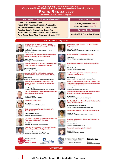#### 22<sup>nd</sup> ISANH International Conference on **Oxidative Stress Reduction, Redox Homeostasis & Antioxidants PARIS REDOX 2020**

October 8 - 9, 2020 - Virtual Congress

#### **Discussion & Scientific - Innovation Awards**

- Covid-19 & Oxidative Stress
- Redox 2020: Recent Advances & Perspective
- Microbiota Diversity, Redox and Inflammation
- Reactive Species Interactome Evaluation
- Redox Medicine: Innovations & Clinical Studies
- Paris Redox Scientific & Innovation Awards 2020

#### **Important Dates**

**Short Oral presentation: Sep. 4 Poster presentation: Sep. 14** 

**Special Session** 

**Covid-19 & Oxidative Stress** 



Angiotensin-converting enzyme-2 (ACE2), SARS-CoV-2 and pathophysiology (COVID-19)

**Upregulation and Functional Role of Hydrogen** 

**Harry van Goor** President of ISANH & University Medical Center, The Netherlands



Csaba Szabo, University of Fribourg, Switzerland

**Sulfide Producing Enzymes in Cancer** 



**Blood Oxidative Stress Profile in Humans Dimitrios Kouretas.** University of Thessaly, Greece

Redox & Fasting 2020: Periodic Fasting Improves



**Oxidative Stress in the Gastrointestinal Tract** Stan Kubow, School of Human Nutrition, McGill University, Canada

**Probiotic Inhibition of Microbiota-mediated** 

**Systemic Oxidative Stress, Microbiota and Redox-Targeted Therapeutics in Inflammatory Bowel Disease** 



Arno Bourgonje, University Medical Center Groningen, The Netherland Integrating Signaling Pathways of Ferroptosis and **Necroptosis at Mitochondria** 

**Carsten Culmsee,** University of Marburg, Germany



Fudi Wang, University School of Medicine, China



An Unexpected Antiferroptotic Activity of a **Sterol Metabolite** 

Jose Friedmann-Angeli University of Würzburg, Germany



The Role of Oxidative Stress in the Initiation and **Progression of Systemic Sclerosis** Udo Mulder,

**Reductive Stress Causes Pathological Cardiac** 

University of Groningen, The Netherlands



**Remodeling and Diastolic Dysfunction** Rajasekaran Namakkal-Soorappan, University of Alabama at Birmingham, USA







**Ferroptosis and Necroptosis in Stroke** Marietta Zille.



 $-OF$ **ANTIOXIDANTS** 



#### www.isanh.net



**Helmut Sies,** 



Iron: Innocent bystander or vicious culprit in **COVID-19 pathogenesis?** Marvin Edeas,

Institute Cochin - University Paris Descartes, France



Effects of Photobiomodulation on Cancer Cells through the Reactive Species Interactome, Proteases and Bioenergetic Metabolism



**Laurent Chatre,** Université de Caen-Normandie, France **Interaction between Hydrogen Sulphide and Nitric Oxide in the Diabetic Cardiomyopathy** 



National University of Singapore, Singapore

Red Blood Cells as a Central Hub in the Interaction among Reactive Species

Mitochondria, Oxidative Stress and Preeclampsia

Miriam Margherita Cortese-Krott, Heinrich Heine University Düsseldorf, Germany



Enrique Terán, Universidad San Francisco de Quito, Ecuador



**Lysosomal Iron** Jonathan Geiger,

University of North Dakota, USA



University of Luebeck, Germany



**Are Reactive Sulfur Species The New Reactive Oxygen species?** 

Kenneth R. Olson. Indiana University School of Medicine in South Bend, USA

**Oxidative Stress: Eustress and Distress** 

Heinrich Heine University Düsseldorf, Germany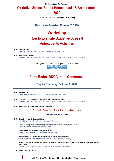**22nd International Conference on**

## **Oxidative Stress, Redox Homeostasis & Antioxidants 2020**

October 7-9, 2020 – **Virtual Congress & Workshop**

### **Day 1 – Wednesday, October 7, 2020**

# **Workshop How to Evaluate Oxidative Stress & Antioxidants Activities**

#### **14:00 Welcome Note**

*Carole Nicco, Institut Cochin - INSERM U1016, Université de Paris, France* 

#### **14:05 Introduction Remarks**  *Harry van Goor, President of Paris Redox 2020, University Medical Center, Groningen, The Netherlands*

Full agenda [and information, please fo](https://www.isanh.net/workshop/download/39/)llow this link **WORKSHOP AGENDA** 

**Live & Recorded** 

# **Paris Redox 2020 Virtual Conference**

### **Day 2 – Thursday, October 8, 2020**

| 08:00 | <b>Welcome Note</b><br>Carole Nicco, Institut Cochin - INSERM U1016, Université de Paris, France                                                                                  |
|-------|-----------------------------------------------------------------------------------------------------------------------------------------------------------------------------------|
| 08:20 | <b>Opening of Paris Redox World Conference &amp; Introduction Remarks</b><br>Harry van Goor, President of Paris Redox 2020, University Medical Center, Groningen, The Netherlands |
| 08:30 | Introduction to Redox 2020: Today & Tomorrow                                                                                                                                      |
|       | Session 1 – Redox 2020: Recent Advances & Perspectives                                                                                                                            |
|       | <b>Chairperson: Harry van Goor</b>                                                                                                                                                |
| 09:10 | <b>Oxidative stress: Eustress and distress</b><br><b>Helmut Sies, Heinrich Heine University Düssseldorf, Germany</b>                                                              |
|       | Redox & Fasting 2020: Periodic fasting improves blood oxidative stress profile in humans<br><b>Dimitrios Kouretas, University of Thessaly, Greece</b>                             |
|       | Mitochondria, oxidative stress and preeclampsia<br>Enrique Terán, University San Francisco de Quito, Ecuador                                                                      |
|       | Red blood cells as a central hub in the interaction among reactive species<br>Miriam Margherita Cortese-Krott, Heinrich Heine University Düsseldorf, Germany                      |
|       | Effects of Photobiomodulation on Cancer Cells through the Reactive Species Interactome, Proteases<br>Metabolism                                                                   |

**Laurent Chatre,** CNRS, UNICAEN, CEA, Université de Caen-Normandie, France

#### **11:20 Short oral presentations**

**and Bioenergetic**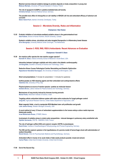**Maximal exercise-induced oxidative damage to proteins depends on body composition in young men Mateusz Mardyla,** University of Physical Education in Krakow, Poland

**The role of aquaporin-8 (AQP8) in cytokine-mediated beta-cell toxicity Christina Schaal,** Hannover Medical School, Germany

**The possible toxic effect of chlorpyrifos on cell viability in HEK293 cell line and antioxidant efficacy of selenium and curcumin Bahar Ozturk Kurt,** Istanbul University Cerrahpasa, Turkey

#### **Session 2 – Microbiota Diversity, Redox and Inflammation**

#### **Chairperson: Stan Kubow**

**13:35 Probiotic inhibition of microbiota-mediated oxidative stress in the gastrointestinal tract Stan Kubow,** School of Human Nutrition, McGill University, Canada

**Systemic oxidative stress, microbiota and redox-targeted therapeutics in inflammatory bowel disease Arno Bourgonje,** University Medical Center Groningen, The Netherlands

#### **Session 3: ROS, RNS, RSS & Antioxidants: Recent Advances on Evaluation**

#### **Chairperson: Kenneth R. Olson**

**15:30 Are reactive sulfur species the new reactive oxygen species? Kenneth R. Olson,** Indiana University School of Medicine in South Bend, USA

**Interaction between hydrogen sulphide and nitric oxide in the diabetic cardiomyopathy Jin-Song Bian,** Southern University of Science and Technology, China

**Reductive Stress Causes Pathological Cardiac Remodeling and Diastolic Dysfunction Rajasekaran Namakkal-Soorappan**, the University of Alabama at Birmingham, USA

**Short oral presentations** (7 minutes for presentation + 3 minutes for questions)

**Isothiocyanates as H2S-releasing agents and their antioxidant and cardioprotective effects Valentina Citi,** University of Pisa, Italy

**Physical plasma as source of reactive species: cysteine as molecular beacon Giuliana Bruno,** Leibniz Institute for Plasma Science and Technology, Germany

**Mechanisms of lung toxicity induced by biomass burning aerosols Michal Pardo,** Weizmann Institute of Science, Israel

**Targeting cellular antioxidant defense system with redox-active molecules for fungal pathogen control Jong Kim**, Agricultural Research Service, United States Department of Agriculture, USA

**Weak magnetic fields: a tool to manipulate ROS-Mediated stem cell proliferation and growth Luke James Kinsey,** Western Michigan University, USA

**A novel method of every 12 hours of antioxidant supplementation to the human embryo culture media improves blastocysts quality**

**Israel Maldonado-Rosas,** CITMER, Mexico

**Involvement of oxidative stress in nickel oxide nanoparticles - induced damages in pulmonary artery endothelial cells Ophélie Germande,** CRCTB - INSERM U1045, France

**The role of hydrogen sulfide (H2S) and oxytocin receptor (OXTR) in preeclampsia Sarah Ecker,** Institute of Anesthesiological Pathophysiology and Process Engineering, Germany

**The H2S and the oxytocin systems in the hypothalamus of a porcine model of hemorrhagic shock with administration of sodium thiosulfate**

**Nicole Denoix,** Clinic for Psychosomatic Medicine and Psychotherapy, Germany

**Antioxidant effect in human of an acute intake of date seeds products (powder, bread and extract) Carine Platat,** United Arab Emirates University, United Arab Emirates

#### **17:00 End of the Second Day**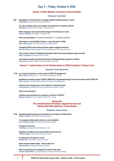### **Day 3 – Friday, October 9, 2020**

#### **Session 4: Redox Medicine: Innovations & Clinical Studies**

#### **Chairperson: Csaba Szabo**

**9:00 Upregulation and functional role of hydrogen sulfide producing enzymes in cancer Csaba Szabo,** University of Fribourg, Switzerland

**The role of oxidative stress in the initiation and progression of systemic sclerosis Udo Mulder,** University of Groningen, The Netherlands

**Redox targeting in anti-hypoxia Adenosinergic immunotherapy of cancer Stephen Hatfield,** Northeastern University, USA

**Short oral presentations** (7 minutes for presentation + 3 minutes for questions)

**Antioxidants in male infertility treatment – Improving sperm motility Biljana Markovska,** PZU Plodnost Bilota, North Macedonia

**Therapeutic ROS provide immunoprotection against malignant melanoma Ramona Clemen,** Leibniz Institute for Plasma Science and Technology, Germany

**Gain of function effects of Oxidized phospholipids makes them pharmacological targets and leads Olga V. Oskolkova,** University of Graz, Austria

**Infant telomere length associated with attention deficit/hyperactivity symptoms in children Cindy Pham,** Murdoch Children's Research Institute, Australia

#### **Session 5 - Cytokine Storm, Iron & Oxidative Stress in COVID-19 patients: A Vicious Circle**

#### **Chairperson: Carole Peyssonnaux**

**14:00 Iron: Innocent bystander or vicious culprit in COVID-19 pathogenesis? Marvin Edeas,** Institute Cochin - University Paris Descartes, France

> **Angiotensin-converting enzyme-2 (ACE2), SARS-CoV-2 and pathophysiology of coronavirus disease 2019 (COVID-19) Harry van Goor,** University Medical Center, Groningen, The Netherlands

**Potential role of hydrogen gas in the treatment of Kawasaki disease Ho-Chuang Kuo,** Kaohsiung Chang Gung Memorial Hospital, Taiwan

#### **Short oral presentations**

**Oxidative stress biomarkers for prediction of severity in COVID19 Morgane Ducastel,** Cochin Hospital, APHP-CUP, France

#### **Symposium**

#### **The crosstalk between ferroptosis, regulated necrosis and mitochondrial death signaling in human disease**

#### **Chairperson: Carsten Culmsee**

**15:00 Integrating signaling pathways of ferroptosis and necroptosis at mitochondria Carsten Culmsee,** University of Marburg, Germany

**An unexpected antiferroptotic activity of a sterol metabolite Jose Friedmann-Angeli,** University of Würzburg, Germany

#### **Ferroptosis in the heart**

**Fudi Wang,** University School of Medicine, China

**Regulation of oxidative stress and cell death by lysosomal iron Jonathan Geiger,** University of North Dakota, USA

**Ferroptosis and necroptosis in stroke Marietta Zille,** University of Luebeck, Germany

**Hemin-induced oxidative death – linked to labile iron Melanie Merkel,** University of Marburg, Germany

**Role of necroptosis and iron deposits in traumatic brain injury Antonia Clarissa Wehn,** Ludwig Maximilian University of Munich, Germany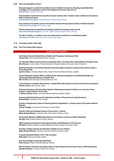#### **16:50 Short oral presentations of Day 2**

**Oleuropein aglycone counteracts the oxidative stress in Alzheimer's disease by disrupting amyloid βeta fibrils: investigation of the mechanism of action of this polyphenol from extra virgin olive oil Simone Brogi, University of Pisa, Italy** 

**Characterization of photochemical properties of human red blood cells in oxidative stress conditions by fluorescence lifetime imaging microscopy Amirali Rostam Davoudpour,** Adam-Mickiewicz University Poznan, Poland

**Does continuous OS reduction prevent and ameliorate diseases through species diversity of intestinal bacteria? Fukka (Fuhua) You (Yang),** Gifu University, Japan

**Physical, phytochemical composition and biological potential of portuguese sweet cherries Ana Carolina Almeida Gonçalves,** CICS-UBI—Health Sciences Research Centre, Portugal

**The effect of vitamin e on oxidative stress and cardiovascular complications in hemodialysis patients Leila Azouaou Toualbi,** Nefissa Hamoud university hospital, Algeria

#### **17:30 Concluding remarks: Redox 2020**

**18:00 End of Paris Redox 2020 Congress**

#### **Accepted Poster Presentations**

**Social Stress Induces Oxidative Stress in Soldiers with Prospective Cardiovascular Risk** *Dae-Sup Rhee, Ulm University Medical Centre, Germany*

**The Antioxidant Effects of Human-derived Lactobacillus Strain L.fermentum U021 in Mouse Model of Oxidative Stress** *Maria Marsova, Vavilov Institute of General Genetics of Russian Academy of Sciences, Russian Federation*

**Beneficial Properties of the Nutritional Bioactive Resveratrol against Lipofuscin Compound A2e-induced Toxicity in Human Retinal Cells**

*Agustina Alaimo, University of Buenos Aires, Faculty of Exact and Natural Sciences, Argentine*

**Fasudil Ameliorates Cognitive Deficits, Oxidative Stress and Neuronal Apoptosis via Inhibiting Rock/mapk and Activating Nrf2 Signaling Pathways in App/PS1 Mice** *Wen-Yue Wei, Shanxi University of Chinese Medicine, China*

**Covid-19 Infection Is Oxidative Stress Disease. Twendee Will be Best Solution to Prevent and Avoid Severe Symptoms** *Haruhiko Inufusa, Gifu University, Japan*

**Preliminary Evaluation of the Antioxidant Capacity of Debaryomyces Hansenii to Reduce Liver and Colon Tissue Damage in a Murine Model of Acute Colitis C***. Marissa Calderón-Torres, Universidad Nacional Autónoma de México, Mexico*

**Structure-related Antioxidant and Anti-inflammatory Activities of Flavonoids and 2-styrylchromones** *Daniela Ribeiro, University of Porto, Portugal*

**Evolution of Polyphenolic Content of Fireweed (epilobium Angustifolium L.) Infusion during in Vitro Gastro-intestinal Digestion**

*Dominik Szwajgier, University of Life Sciences in Lublin, Poland*

**Phenolic Profile and Antioxidant Activity of Prunus Avium L. Extracts** *Biljana Bozidar Milosevic, University of Novi Sad, Faculty of Sciences, Serbia*

**Nucleoredoxin Maintains CAMK2α Redox Balance but Its Absence in Neurons Is Well Compensated** *Bao Ngoc Tran, Goethe Hospital University, Germany*

**HNF4A Suppresses the Aberrant Transcriptional Activity of Nrf2 Mutations in HCC Cell Lines** *Effi Haque, Institute of Genetics and Animal Breeding of Polish Academy of Sciences, Poland*

**Evaluation of Redox Capacity and Antioxidant Capability of Laurus Nobilis L** *Biljana Bozidar Milosevic, University of Novi Sad, Faculty of Sciences, Serbia*

**Increased Antioxidant Defense in HIV-1 Elite Controllers** *Maike Sperk, Karolinska Institutet, Sweden*

**Novel Ex-Vivo Model to Study Skin Antioxidants** *Reem Alnemari, Philipps-Universität Marburg, Germany*

**Effects of Sodium Thiosulfate during Resuscitation of Hemorrhagic Shock and Chest Trauma in CSE Knockout Mice** *Benedikt Nussbaum, University Hospital Ulm, Germany*